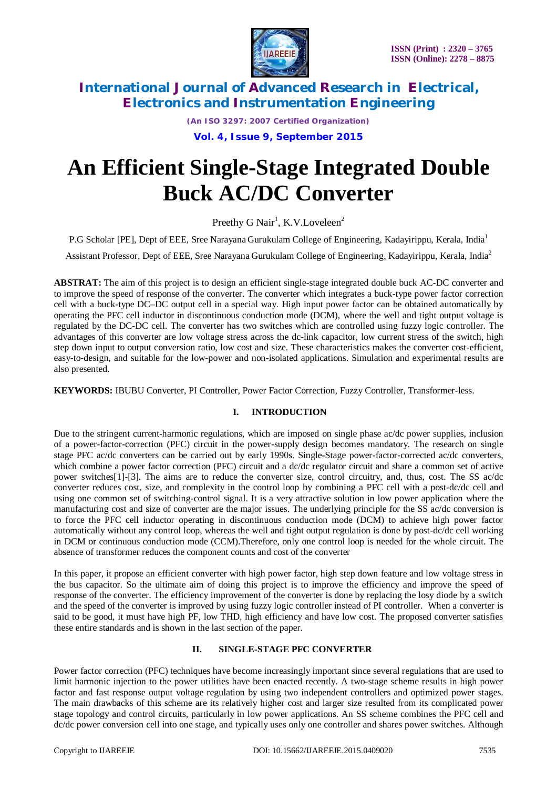

*(An ISO 3297: 2007 Certified Organization)*

**Vol. 4, Issue 9, September 2015**

# **An Efficient Single-Stage Integrated Double Buck AC/DC Converter**

Preethy G Nair<sup>1</sup>, K.V.Loveleen<sup>2</sup>

P.G Scholar [PE], Dept of EEE, Sree Narayana Gurukulam College of Engineering, Kadayirippu, Kerala, India<sup>1</sup>

Assistant Professor, Dept of EEE, Sree Narayana Gurukulam College of Engineering, Kadayirippu, Kerala, India<sup>2</sup>

**ABSTRAT:** The aim of this project is to design an efficient single-stage integrated double buck AC-DC converter and to improve the speed of response of the converter. The converter which integrates a buck-type power factor correction cell with a buck-type DC–DC output cell in a special way. High input power factor can be obtained automatically by operating the PFC cell inductor in discontinuous conduction mode (DCM), where the well and tight output voltage is regulated by the DC-DC cell. The converter has two switches which are controlled using fuzzy logic controller. The advantages of this converter are low voltage stress across the dc-link capacitor, low current stress of the switch, high step down input to output conversion ratio, low cost and size. These characteristics makes the converter cost-efficient, easy-to-design, and suitable for the low-power and non-isolated applications. Simulation and experimental results are also presented.

**KEYWORDS:** IBUBU Converter, PI Controller, Power Factor Correction, Fuzzy Controller, Transformer-less.

#### **I. INTRODUCTION**

Due to the stringent current-harmonic regulations, which are imposed on single phase ac/dc power supplies, inclusion of a power-factor-correction (PFC) circuit in the power-supply design becomes mandatory. The research on single stage PFC ac/dc converters can be carried out by early 1990s. Single-Stage power-factor-corrected ac/dc converters, which combine a power factor correction (PFC) circuit and a dc/dc regulator circuit and share a common set of active power switches[1]-[3]. The aims are to reduce the converter size, control circuitry, and, thus, cost. The SS ac/dc converter reduces cost, size, and complexity in the control loop by combining a PFC cell with a post-dc/dc cell and using one common set of switching-control signal. It is a very attractive solution in low power application where the manufacturing cost and size of converter are the major issues. The underlying principle for the SS ac/dc conversion is to force the PFC cell inductor operating in discontinuous conduction mode (DCM) to achieve high power factor automatically without any control loop, whereas the well and tight output regulation is done by post-dc/dc cell working in DCM or continuous conduction mode (CCM).Therefore, only one control loop is needed for the whole circuit. The absence of transformer reduces the component counts and cost of the converter

In this paper, it propose an efficient converter with high power factor, high step down feature and low voltage stress in the bus capacitor. So the ultimate aim of doing this project is to improve the efficiency and improve the speed of response of the converter. The efficiency improvement of the converter is done by replacing the losy diode by a switch and the speed of the converter is improved by using fuzzy logic controller instead of PI controller. When a converter is said to be good, it must have high PF, low THD, high efficiency and have low cost. The proposed converter satisfies these entire standards and is shown in the last section of the paper.

#### **II. SINGLE-STAGE PFC CONVERTER**

Power factor correction (PFC) techniques have become increasingly important since several regulations that are used to limit harmonic injection to the power utilities have been enacted recently. A two-stage scheme results in high power factor and fast response output voltage regulation by using two independent controllers and optimized power stages. The main drawbacks of this scheme are its relatively higher cost and larger size resulted from its complicated power stage topology and control circuits, particularly in low power applications. An SS scheme combines the PFC cell and dc/dc power conversion cell into one stage, and typically uses only one controller and shares power switches. Although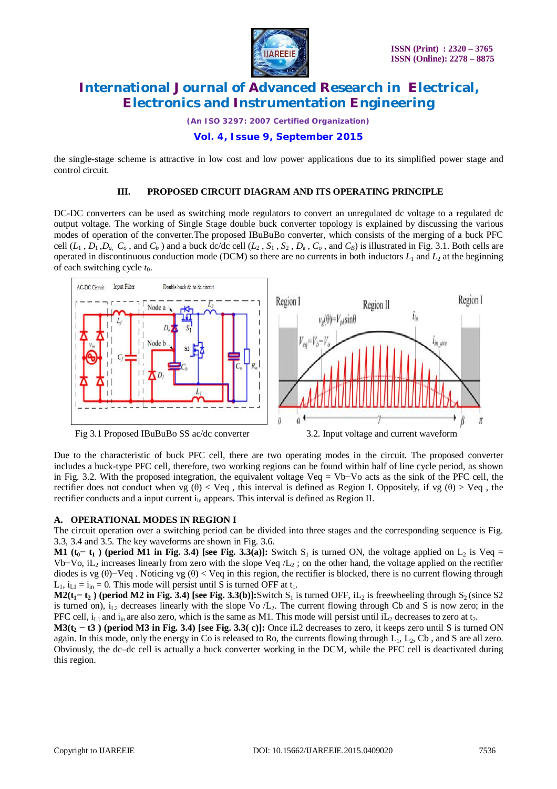

*(An ISO 3297: 2007 Certified Organization)*

#### **Vol. 4, Issue 9, September 2015**

the single-stage scheme is attractive in low cost and low power applications due to its simplified power stage and control circuit.

#### **III. PROPOSED CIRCUIT DIAGRAM AND ITS OPERATING PRINCIPLE**

DC-DC converters can be used as switching mode regulators to convert an unregulated dc voltage to a regulated dc output voltage. The working of Single Stage double buck converter topology is explained by discussing the various modes of operation of the converter.The proposed IBuBuBo converter, which consists of the merging of a buck PFC cell  $(L_1, D_1, D_a, C_o,$  and  $C_b$ ) and a buck dc/dc cell  $(L_2, S_1, S_2, D_a, C_o,$  and  $C_b$ ) is illustrated in Fig. 3.1. Both cells are operated in discontinuous conduction mode (DCM) so there are no currents in both inductors  $L_1$  and  $L_2$  at the beginning of each switching cycle  $t_0$ .



Due to the characteristic of buck PFC cell, there are two operating modes in the circuit. The proposed converter includes a buck-type PFC cell, therefore, two working regions can be found within half of line cycle period, as shown in Fig. 3.2. With the proposed integration, the equivalent voltage Veq = Vb−Vo acts as the sink of the PFC cell, the rectifier does not conduct when vg (θ) < Veq, this interval is defined as Region I. Oppositely, if vg (θ) > Veq, the rectifier conducts and a input current i<sub>in</sub> appears. This interval is defined as Region II.

#### **A. OPERATIONAL MODES IN REGION I**

The circuit operation over a switching period can be divided into three stages and the corresponding sequence is Fig. 3.3, 3.4 and 3.5. The key waveforms are shown in Fig. 3.6.

**M1 (** $t_0$   $-t_1$ ) (period M1 in Fig. 3.4) [see Fig. 3.3(a)]: Switch  $S_1$  is turned ON, the voltage applied on  $L_2$  is Veq = Vb–Vo, iL<sub>2</sub> increases linearly from zero with the slope Veq  $/L_2$ ; on the other hand, the voltage applied on the rectifier diodes is vg  $(\theta)$ −Veq . Noticing vg  $(\theta)$  < Veq in this region, the rectifier is blocked, there is no current flowing through  $L_1$ ,  $i_{L1} = i_{in} = 0$ . This mode will persist until S is turned OFF at  $t_1$ .

**M2(** $t_1$ **–** $t_2$ **) (period M2 in Fig. 3.4) [see Fig. 3.3(b)]:Switch S<sub>1</sub> is turned OFF, iL<sub>2</sub> is freewheeling through S<sub>2</sub> (since S2)** is turned on),  $i_{L2}$  decreases linearly with the slope Vo  $/L<sub>2</sub>$ . The current flowing through Cb and S is now zero; in the PFC cell,  $i_{L1}$  and  $i_{in}$  are also zero, which is the same as M1. This mode will persist until  $iL_2$  decreases to zero at  $t_2$ .

**M3(t<sub>2</sub>**  $-$  **t3**) (period M3 in Fig. 3.4) [see Fig. 3.3( c)]: Once iL2 decreases to zero, it keeps zero until S is turned ON again. In this mode, only the energy in Co is released to Ro, the currents flowing through  $L_1$ ,  $L_2$ , Cb, and S are all zero. Obviously, the dc–dc cell is actually a buck converter working in the DCM, while the PFC cell is deactivated during this region.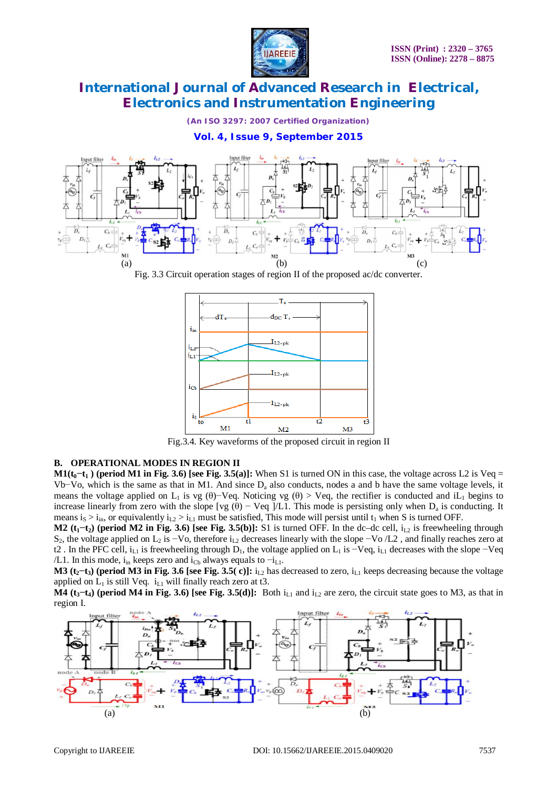

*(An ISO 3297: 2007 Certified Organization)*

#### **Vol. 4, Issue 9, September 2015**



Fig. 3.3 Circuit operation stages of region II of the proposed ac/dc converter.



Fig.3.4. Key waveforms of the proposed circuit in region II

#### **B. OPERATIONAL MODES IN REGION II**

**M1(** $t_0$  $-t_1$ ) (period M1 in Fig. 3.6) [see Fig. 3.5(a)]: When S1 is turned ON in this case, the voltage across L2 is Veq = Vb−Vo, which is the same as that in M1. And since D<sup>a</sup> also conducts, nodes a and b have the same voltage levels, it means the voltage applied on L<sub>1</sub> is vg (θ)−Veq. Noticing vg (θ) > Veq, the rectifier is conducted and iL<sub>1</sub> begins to increase linearly from zero with the slope [vg  $(\theta)$  – Veq ]/L1. This mode is persisting only when  $D_a$  is conducting. It means  $i_S > i_{in}$ , or equivalently  $i_{L2} > i_{L1}$  must be satisfied, This mode will persist until  $t_1$  when S is turned OFF.

**M2 (** $t_1$ **–** $t_2$ **) (period M2 in Fig. 3.6) [see Fig. 3.5(b)]: S1 is turned OFF. In the dc–dc cell,**  $i_{1,2}$  **is freewheeling through** S<sub>2</sub>, the voltage applied on L<sub>2</sub> is −Vo, therefore i<sub>L2</sub> decreases linearly with the slope −Vo /L2, and finally reaches zero at t2. In the PFC cell, i<sub>L1</sub> is freewheeling through D<sub>1</sub>, the voltage applied on L<sub>1</sub> is −Veq, i<sub>L1</sub> decreases with the slope −Veq /L1. In this mode, i<sub>in</sub> keeps zero and i<sub>Cb</sub> always equals to  $-i_{L1}$ .

**M3** ( $t_2$ – $t_3$ ) (period M3 in Fig. 3.6 [see Fig. 3.5( c)]:  $i_{1,2}$  has decreased to zero,  $i_{1,1}$  keeps decreasing because the voltage applied on  $L_1$  is still Veq.  $i_{L1}$  will finally reach zero at t3.

**M4** ( $t_3$ <sup> $-$ </sup> $t_4$ ) (period M4 in Fig. 3.6) [see Fig. 3.5(d)]: Both  $i_{L1}$  and  $i_{L2}$  are zero, the circuit state goes to M3, as that in region I.

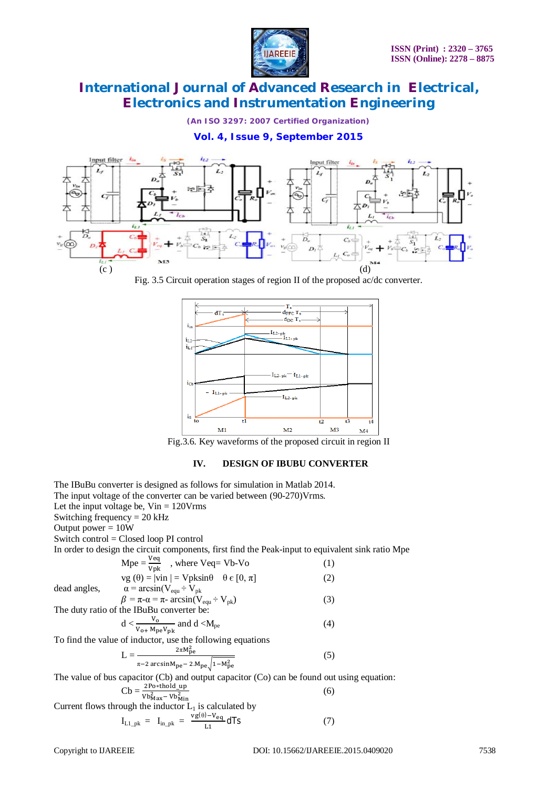

*(An ISO 3297: 2007 Certified Organization)*

#### **Vol. 4, Issue 9, September 2015**



Fig. 3.5 Circuit operation stages of region II of the proposed ac/dc converter.



Fig.3.6. Key waveforms of the proposed circuit in region II

#### **IV. DESIGN OF IBUBU CONVERTER**

The IBuBu converter is designed as follows for simulation in Matlab 2014. The input voltage of the converter can be varied between (90-270)Vrms. Let the input voltage be,  $V\text{in} = 120 \text{V} \text{rms}$ Switching frequency = 20 kHz Output power  $= 10W$ Switch control = Closed loop PI control In order to design the circuit components, first find the Peak-input to equivalent sink ratio Mpe  $Mpe = \frac{Veq}{Vpk}$ , where Veq= Vb-Vo (1)  $vg(\theta) = |vin| = Vpksin\theta \quad \theta \in [0, \pi]$  (2) dead angles,  $\alpha = \arcsin(V_{equ} \div V_{pk})$  $\beta = \pi - \alpha = \pi - \arcsin(V_{\text{equ}} - V_{\text{pk}})$  (3) The duty ratio of the IBuBu converter be:  $d < \frac{V_0}{V_{0+} M_{pe} V_{pk}}$  $\frac{V_0}{V_0}$  and d <M<sub>pe</sub> (4) To find the value of inductor, use the following equations  $L =$  $2\pi M_{\text{pe}}^2$  $\pi$ –2 arcsin $M_{\text{pe}}$ – 2. $M_{\text{pe}}$ <sub>1</sub>– $M_{\text{pe}}^2$  (5) The value of bus capacitor (Cb) and output capacitor (Co) can be found out using equation:  $Cb = \frac{2Po * \text{thold\_up}}{Vb_{\text{Max}}^2 - Vb_{\text{Min}}^2}$ (6) Current flows through the inductor  $L_1$  is calculated by  $I_{L1\_pk}$  =  $I_{in\_pk}$  =  $\frac{vg(\theta)-V_{eq}}{1.1}$  $\frac{V_{\text{eq}}}{L_1}$ dTs (7)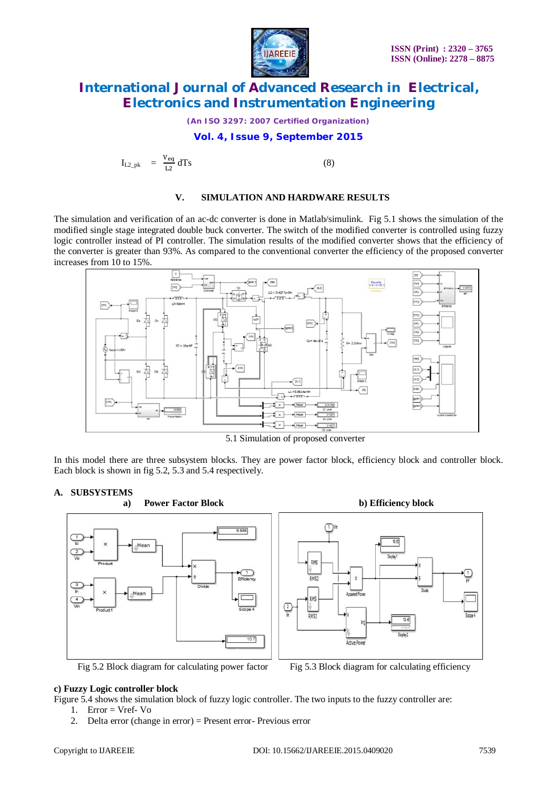

*(An ISO 3297: 2007 Certified Organization)*

#### **Vol. 4, Issue 9, September 2015**

$$
I_{L2\_pk} = \frac{V_{eq}}{L2} dTs
$$
 (8)

#### **V. SIMULATION AND HARDWARE RESULTS**

The simulation and verification of an ac-dc converter is done in Matlab/simulink. Fig 5.1 shows the simulation of the modified single stage integrated double buck converter. The switch of the modified converter is controlled using fuzzy logic controller instead of PI controller. The simulation results of the modified converter shows that the efficiency of the converter is greater than 93%. As compared to the conventional converter the efficiency of the proposed converter increases from 10 to 15%.



5.1 Simulation of proposed converter

In this model there are three subsystem blocks. They are power factor block, efficiency block and controller block. Each block is shown in fig 5.2, 5.3 and 5.4 respectively.

#### **A. SUBSYSTEMS**



**a) Power Factor Block b) Efficiency block**



Fig 5.2 Block diagram for calculating power factor Fig 5.3 Block diagram for calculating efficiency



#### **c) Fuzzy Logic controller block**

Figure 5.4 shows the simulation block of fuzzy logic controller. The two inputs to the fuzzy controller are:

1. Error = Vref- Vo

2. Delta error (change in error) = Present error- Previous error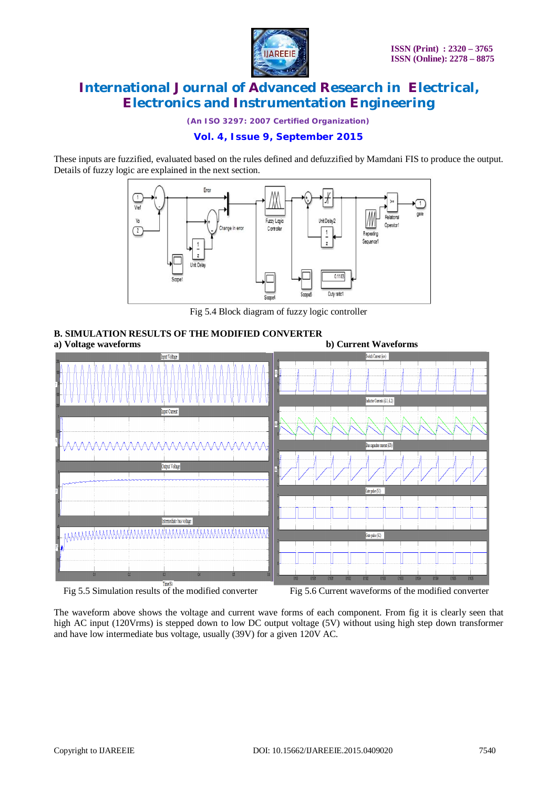

*(An ISO 3297: 2007 Certified Organization)*

#### **Vol. 4, Issue 9, September 2015**

These inputs are fuzzified, evaluated based on the rules defined and defuzzified by Mamdani FIS to produce the output. Details of fuzzy logic are explained in the next section.



Fig 5.4 Block diagram of fuzzy logic controller

## **B. SIMULATION RESULTS OF THE MODIFIED CONVERTER**



The waveform above shows the voltage and current wave forms of each component. From fig it is clearly seen that high AC input (120Vrms) is stepped down to low DC output voltage (5V) without using high step down transformer and have low intermediate bus voltage, usually (39V) for a given 120V AC.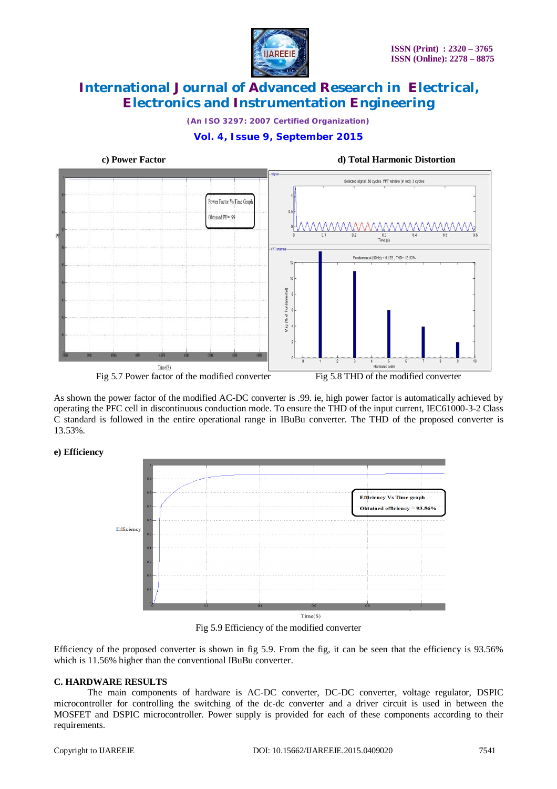

*(An ISO 3297: 2007 Certified Organization)*

### **Vol. 4, Issue 9, September 2015**



As shown the power factor of the modified AC-DC converter is .99. ie, high power factor is automatically achieved by operating the PFC cell in discontinuous conduction mode. To ensure the THD of the input current, IEC61000-3-2 Class C standard is followed in the entire operational range in IBuBu converter. The THD of the proposed converter is 13.53%.

#### **e) Efficiency**



Fig 5.9 Efficiency of the modified converter

Efficiency of the proposed converter is shown in fig 5.9. From the fig, it can be seen that the efficiency is 93.56% which is 11.56% higher than the conventional IBuBu converter.

#### **C. HARDWARE RESULTS**

The main components of hardware is AC-DC converter, DC-DC converter, voltage regulator, DSPIC microcontroller for controlling the switching of the dc-dc converter and a driver circuit is used in between the MOSFET and DSPIC microcontroller. Power supply is provided for each of these components according to their requirements.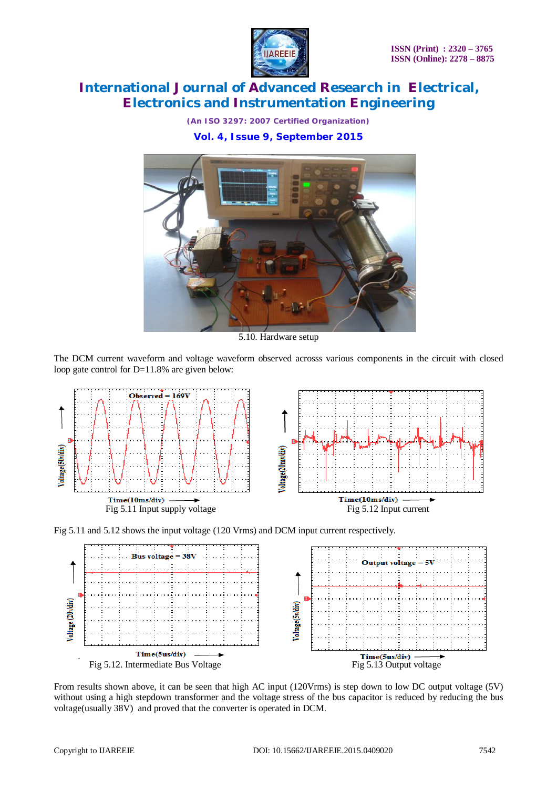

*(An ISO 3297: 2007 Certified Organization)* **Vol. 4, Issue 9, September 2015**



5.10. Hardware setup

The DCM current waveform and voltage waveform observed acrosss various components in the circuit with closed loop gate control for D=11.8% are given below:







From results shown above, it can be seen that high AC input (120Vrms) is step down to low DC output voltage (5V) without using a high stepdown transformer and the voltage stress of the bus capacitor is reduced by reducing the bus voltage(usually 38V) and proved that the converter is operated in DCM.